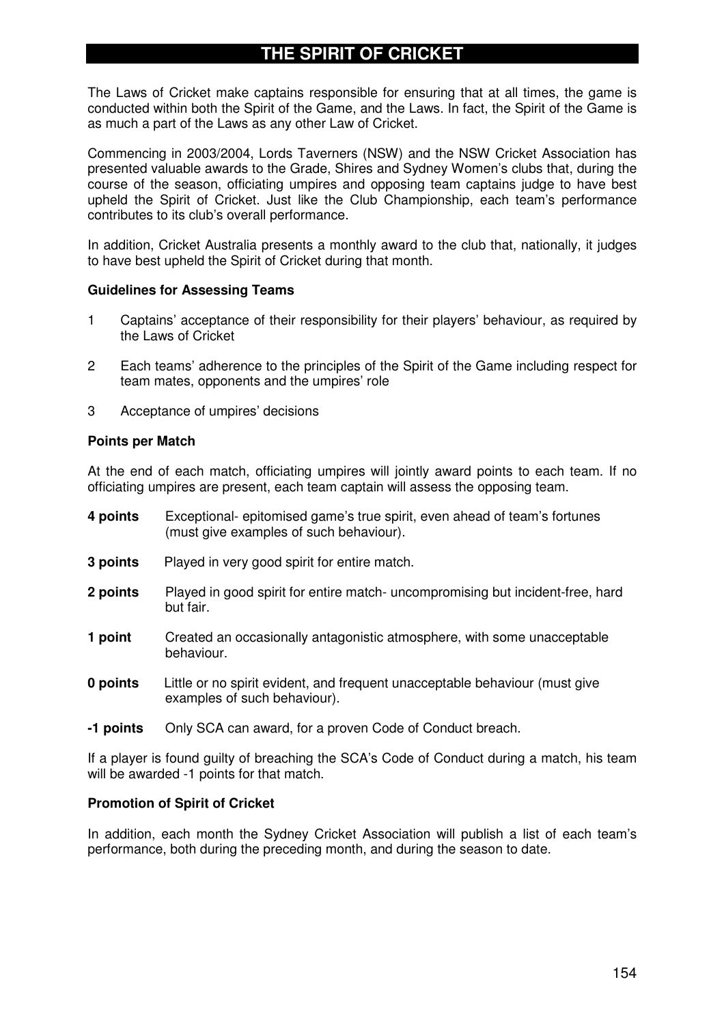## **THE SPIRIT OF CRICKET**

The Laws of Cricket make captains responsible for ensuring that at all times, the game is conducted within both the Spirit of the Game, and the Laws. In fact, the Spirit of the Game is as much a part of the Laws as any other Law of Cricket.

Commencing in 2003/2004, Lords Taverners (NSW) and the NSW Cricket Association has presented valuable awards to the Grade, Shires and Sydney Women's clubs that, during the course of the season, officiating umpires and opposing team captains judge to have best upheld the Spirit of Cricket. Just like the Club Championship, each team's performance contributes to its club's overall performance.

In addition, Cricket Australia presents a monthly award to the club that, nationally, it judges to have best upheld the Spirit of Cricket during that month.

#### **Guidelines for Assessing Teams**

- 1 Captains' acceptance of their responsibility for their players' behaviour, as required by the Laws of Cricket
- 2 Each teams' adherence to the principles of the Spirit of the Game including respect for team mates, opponents and the umpires' role
- 3 Acceptance of umpires' decisions

#### **Points per Match**

At the end of each match, officiating umpires will jointly award points to each team. If no officiating umpires are present, each team captain will assess the opposing team.

| 4 points | Exceptional-epitomised game's true spirit, even ahead of team's fortunes |
|----------|--------------------------------------------------------------------------|
|          | (must give examples of such behaviour).                                  |

- **3 points** Played in very good spirit for entire match.
- **2 points** Played in good spirit for entire match- uncompromising but incident-free, hard but fair.
- **1 point** Created an occasionally antagonistic atmosphere, with some unacceptable behaviour.
- **0 points** Little or no spirit evident, and frequent unacceptable behaviour (must give examples of such behaviour).
- **-1 points** Only SCA can award, for a proven Code of Conduct breach.

If a player is found guilty of breaching the SCA's Code of Conduct during a match, his team will be awarded -1 points for that match.

#### **Promotion of Spirit of Cricket**

In addition, each month the Sydney Cricket Association will publish a list of each team's performance, both during the preceding month, and during the season to date.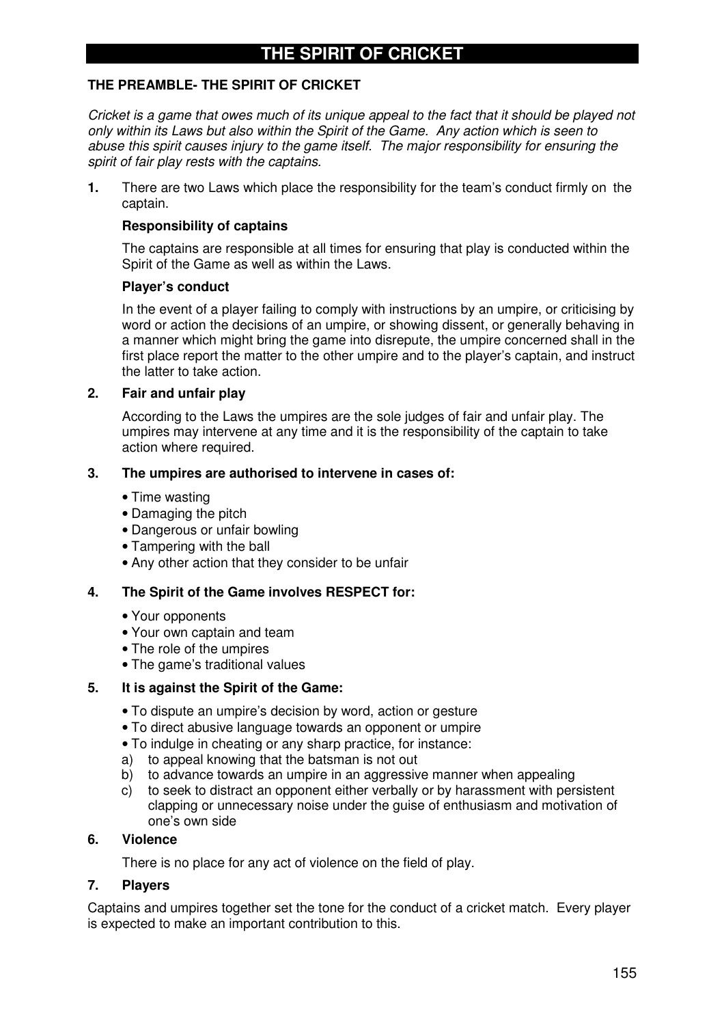## **THE SPIRIT OF CRICKET**

## **THE PREAMBLE- THE SPIRIT OF CRICKET**

Cricket is a game that owes much of its unique appeal to the fact that it should be played not *only within its Laws but also within the Spirit of the Game. Any action which is seen to abuse this spirit causes injury to the game itself. The major responsibility for ensuring the spirit of fair play rests with the captains.*

**1.** There are two Laws which place the responsibility for the team's conduct firmly on the captain.

#### **Responsibility of captains**

The captains are responsible at all times for ensuring that play is conducted within the Spirit of the Game as well as within the Laws.

#### **Player's conduct**

In the event of a player failing to comply with instructions by an umpire, or criticising by word or action the decisions of an umpire, or showing dissent, or generally behaving in a manner which might bring the game into disrepute, the umpire concerned shall in the first place report the matter to the other umpire and to the player's captain, and instruct the latter to take action.

#### **2. Fair and unfair play**

According to the Laws the umpires are the sole judges of fair and unfair play. The umpires may intervene at any time and it is the responsibility of the captain to take action where required.

#### **3. The umpires are authorised to intervene in cases of:**

- Time wasting
- Damaging the pitch
- Dangerous or unfair bowling
- Tampering with the ball
- Any other action that they consider to be unfair

#### **4. The Spirit of the Game involves RESPECT for:**

- Your opponents
- Your own captain and team
- The role of the umpires
- The game's traditional values

#### **5. It is against the Spirit of the Game:**

- To dispute an umpire's decision by word, action or gesture
- To direct abusive language towards an opponent or umpire
- To indulge in cheating or any sharp practice, for instance:
- a) to appeal knowing that the batsman is not out
- b) to advance towards an umpire in an aggressive manner when appealing
- c) to seek to distract an opponent either verbally or by harassment with persistent clapping or unnecessary noise under the guise of enthusiasm and motivation of one's own side

#### **6. Violence**

There is no place for any act of violence on the field of play.

#### **7. Players**

Captains and umpires together set the tone for the conduct of a cricket match. Every player is expected to make an important contribution to this.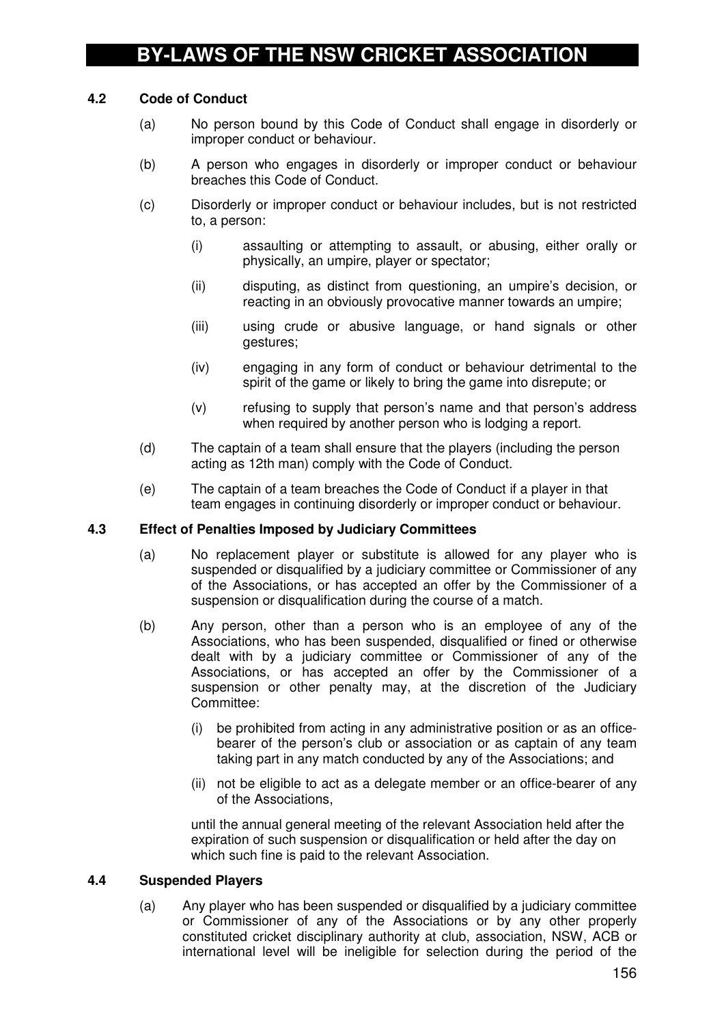## **4.2 Code of Conduct**

- (a) No person bound by this Code of Conduct shall engage in disorderly or improper conduct or behaviour.
- (b) A person who engages in disorderly or improper conduct or behaviour breaches this Code of Conduct.
- (c) Disorderly or improper conduct or behaviour includes, but is not restricted to, a person:
	- (i) assaulting or attempting to assault, or abusing, either orally or physically, an umpire, player or spectator;
	- (ii) disputing, as distinct from questioning, an umpire's decision, or reacting in an obviously provocative manner towards an umpire;
	- (iii) using crude or abusive language, or hand signals or other gestures;
	- (iv) engaging in any form of conduct or behaviour detrimental to the spirit of the game or likely to bring the game into disrepute; or
	- (v) refusing to supply that person's name and that person's address when required by another person who is lodging a report.
- (d) The captain of a team shall ensure that the players (including the person acting as 12th man) comply with the Code of Conduct.
- (e) The captain of a team breaches the Code of Conduct if a player in that team engages in continuing disorderly or improper conduct or behaviour.

#### **4.3 Effect of Penalties Imposed by Judiciary Committees**

- (a) No replacement player or substitute is allowed for any player who is suspended or disqualified by a judiciary committee or Commissioner of any of the Associations, or has accepted an offer by the Commissioner of a suspension or disqualification during the course of a match.
- (b) Any person, other than a person who is an employee of any of the Associations, who has been suspended, disqualified or fined or otherwise dealt with by a judiciary committee or Commissioner of any of the Associations, or has accepted an offer by the Commissioner of a suspension or other penalty may, at the discretion of the Judiciary Committee:
	- (i) be prohibited from acting in any administrative position or as an officebearer of the person's club or association or as captain of any team taking part in any match conducted by any of the Associations; and
	- (ii) not be eligible to act as a delegate member or an office-bearer of any of the Associations,

until the annual general meeting of the relevant Association held after the expiration of such suspension or disqualification or held after the day on which such fine is paid to the relevant Association.

#### **4.4 Suspended Players**

(a) Any player who has been suspended or disqualified by a judiciary committee or Commissioner of any of the Associations or by any other properly constituted cricket disciplinary authority at club, association, NSW, ACB or international level will be ineligible for selection during the period of the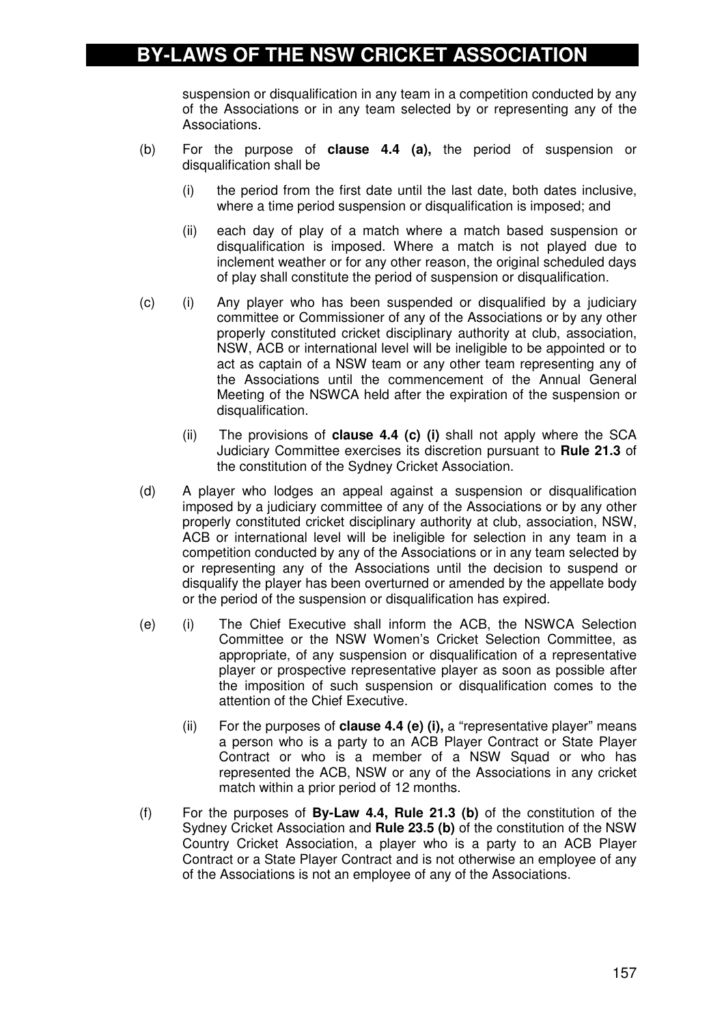## **BY-LAWS OF THE NSW CRICKET ASSOCIATION**

suspension or disqualification in any team in a competition conducted by any of the Associations or in any team selected by or representing any of the Associations.

- (b) For the purpose of **clause 4.4 (a),** the period of suspension or disqualification shall be
	- (i) the period from the first date until the last date, both dates inclusive, where a time period suspension or disqualification is imposed; and
	- (ii) each day of play of a match where a match based suspension or disqualification is imposed. Where a match is not played due to inclement weather or for any other reason, the original scheduled days of play shall constitute the period of suspension or disqualification.
- (c) (i) Any player who has been suspended or disqualified by a judiciary committee or Commissioner of any of the Associations or by any other properly constituted cricket disciplinary authority at club, association, NSW, ACB or international level will be ineligible to be appointed or to act as captain of a NSW team or any other team representing any of the Associations until the commencement of the Annual General Meeting of the NSWCA held after the expiration of the suspension or disqualification.
	- (ii) The provisions of **clause 4.4 (c) (i)** shall not apply where the SCA Judiciary Committee exercises its discretion pursuant to **Rule 21.3** of the constitution of the Sydney Cricket Association.
- (d) A player who lodges an appeal against a suspension or disqualification imposed by a judiciary committee of any of the Associations or by any other properly constituted cricket disciplinary authority at club, association, NSW, ACB or international level will be ineligible for selection in any team in a competition conducted by any of the Associations or in any team selected by or representing any of the Associations until the decision to suspend or disqualify the player has been overturned or amended by the appellate body or the period of the suspension or disqualification has expired.
- (e) (i) The Chief Executive shall inform the ACB, the NSWCA Selection Committee or the NSW Women's Cricket Selection Committee, as appropriate, of any suspension or disqualification of a representative player or prospective representative player as soon as possible after the imposition of such suspension or disqualification comes to the attention of the Chief Executive.
	- (ii) For the purposes of **clause 4.4 (e) (i),** a "representative player" means a person who is a party to an ACB Player Contract or State Player Contract or who is a member of a NSW Squad or who has represented the ACB, NSW or any of the Associations in any cricket match within a prior period of 12 months.
- (f) For the purposes of **By-Law 4.4, Rule 21.3 (b)** of the constitution of the Sydney Cricket Association and **Rule 23.5 (b)** of the constitution of the NSW Country Cricket Association, a player who is a party to an ACB Player Contract or a State Player Contract and is not otherwise an employee of any of the Associations is not an employee of any of the Associations.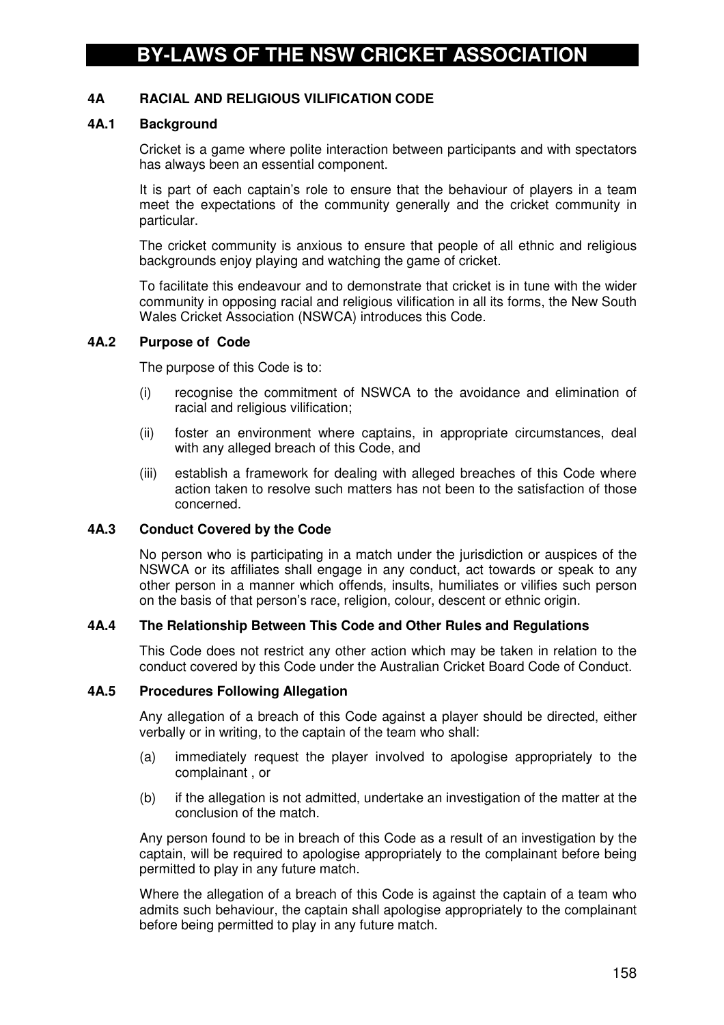## **4A RACIAL AND RELIGIOUS VILIFICATION CODE**

#### **4A.1 Background**

Cricket is a game where polite interaction between participants and with spectators has always been an essential component.

It is part of each captain's role to ensure that the behaviour of players in a team meet the expectations of the community generally and the cricket community in particular.

The cricket community is anxious to ensure that people of all ethnic and religious backgrounds enjoy playing and watching the game of cricket.

To facilitate this endeavour and to demonstrate that cricket is in tune with the wider community in opposing racial and religious vilification in all its forms, the New South Wales Cricket Association (NSWCA) introduces this Code.

#### **4A.2 Purpose of Code**

The purpose of this Code is to:

- (i) recognise the commitment of NSWCA to the avoidance and elimination of racial and religious vilification;
- (ii) foster an environment where captains, in appropriate circumstances, deal with any alleged breach of this Code, and
- (iii) establish a framework for dealing with alleged breaches of this Code where action taken to resolve such matters has not been to the satisfaction of those concerned.

## **4A.3 Conduct Covered by the Code**

No person who is participating in a match under the jurisdiction or auspices of the NSWCA or its affiliates shall engage in any conduct, act towards or speak to any other person in a manner which offends, insults, humiliates or vilifies such person on the basis of that person's race, religion, colour, descent or ethnic origin.

#### **4A.4 The Relationship Between This Code and Other Rules and Regulations**

This Code does not restrict any other action which may be taken in relation to the conduct covered by this Code under the Australian Cricket Board Code of Conduct.

#### **4A.5 Procedures Following Allegation**

Any allegation of a breach of this Code against a player should be directed, either verbally or in writing, to the captain of the team who shall:

- (a) immediately request the player involved to apologise appropriately to the complainant , or
- (b) if the allegation is not admitted, undertake an investigation of the matter at the conclusion of the match.

Any person found to be in breach of this Code as a result of an investigation by the captain, will be required to apologise appropriately to the complainant before being permitted to play in any future match.

Where the allegation of a breach of this Code is against the captain of a team who admits such behaviour, the captain shall apologise appropriately to the complainant before being permitted to play in any future match.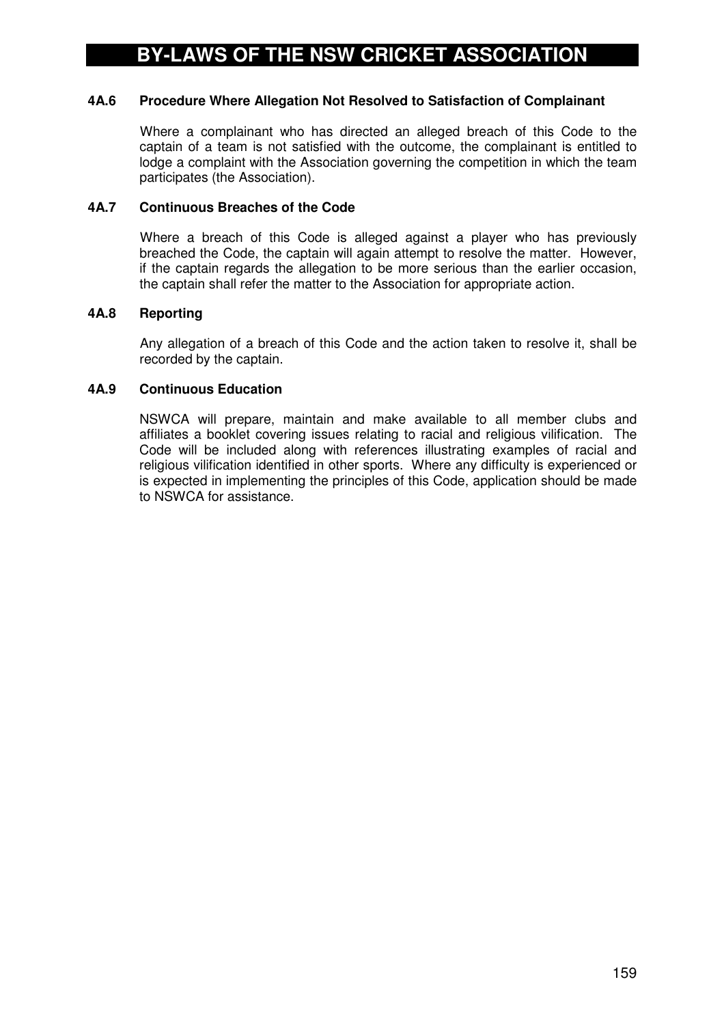## **4A.6 Procedure Where Allegation Not Resolved to Satisfaction of Complainant**

Where a complainant who has directed an alleged breach of this Code to the captain of a team is not satisfied with the outcome, the complainant is entitled to lodge a complaint with the Association governing the competition in which the team participates (the Association).

## **4A.7 Continuous Breaches of the Code**

Where a breach of this Code is alleged against a player who has previously breached the Code, the captain will again attempt to resolve the matter. However, if the captain regards the allegation to be more serious than the earlier occasion, the captain shall refer the matter to the Association for appropriate action.

## **4A.8 Reporting**

Any allegation of a breach of this Code and the action taken to resolve it, shall be recorded by the captain.

## **4A.9 Continuous Education**

NSWCA will prepare, maintain and make available to all member clubs and affiliates a booklet covering issues relating to racial and religious vilification. The Code will be included along with references illustrating examples of racial and religious vilification identified in other sports. Where any difficulty is experienced or is expected in implementing the principles of this Code, application should be made to NSWCA for assistance.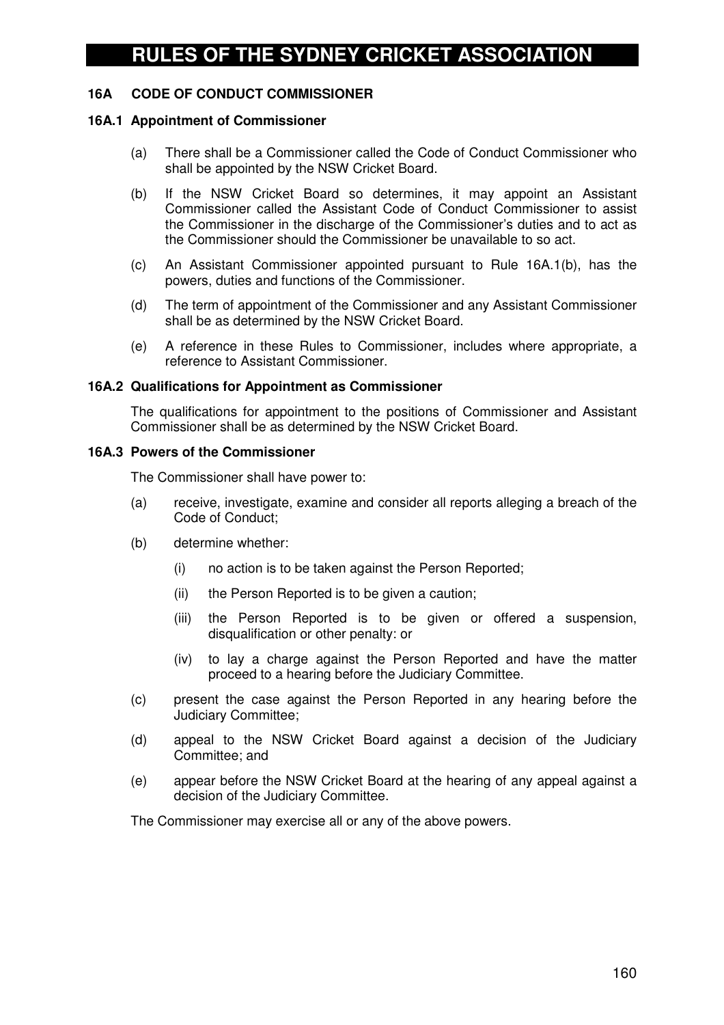## **16A CODE OF CONDUCT COMMISSIONER**

#### **16A.1 Appointment of Commissioner**

- (a) There shall be a Commissioner called the Code of Conduct Commissioner who shall be appointed by the NSW Cricket Board.
- (b) If the NSW Cricket Board so determines, it may appoint an Assistant Commissioner called the Assistant Code of Conduct Commissioner to assist the Commissioner in the discharge of the Commissioner's duties and to act as the Commissioner should the Commissioner be unavailable to so act.
- (c) An Assistant Commissioner appointed pursuant to Rule 16A.1(b), has the powers, duties and functions of the Commissioner.
- (d) The term of appointment of the Commissioner and any Assistant Commissioner shall be as determined by the NSW Cricket Board.
- (e) A reference in these Rules to Commissioner, includes where appropriate, a reference to Assistant Commissioner.

#### **16A.2 Qualifications for Appointment as Commissioner**

The qualifications for appointment to the positions of Commissioner and Assistant Commissioner shall be as determined by the NSW Cricket Board.

#### **16A.3 Powers of the Commissioner**

The Commissioner shall have power to:

- (a) receive, investigate, examine and consider all reports alleging a breach of the Code of Conduct;
- (b) determine whether:
	- (i) no action is to be taken against the Person Reported;
	- (ii) the Person Reported is to be given a caution;
	- (iii) the Person Reported is to be given or offered a suspension, disqualification or other penalty: or
	- (iv) to lay a charge against the Person Reported and have the matter proceed to a hearing before the Judiciary Committee.
- (c) present the case against the Person Reported in any hearing before the Judiciary Committee;
- (d) appeal to the NSW Cricket Board against a decision of the Judiciary Committee; and
- (e) appear before the NSW Cricket Board at the hearing of any appeal against a decision of the Judiciary Committee.

The Commissioner may exercise all or any of the above powers.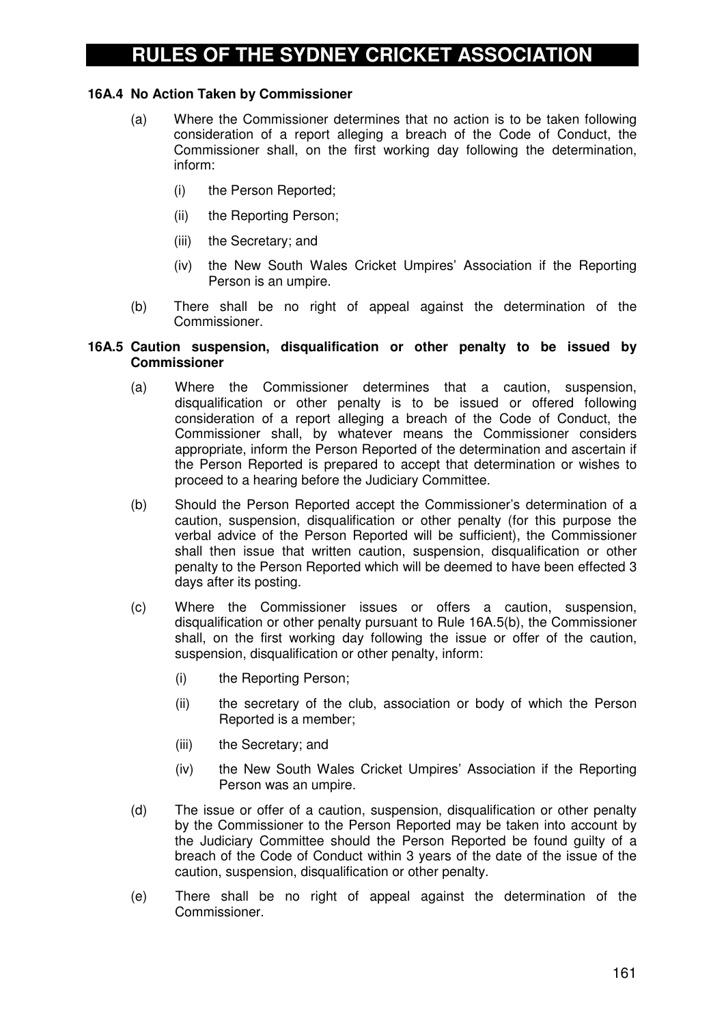### **16A.4 No Action Taken by Commissioner**

- (a) Where the Commissioner determines that no action is to be taken following consideration of a report alleging a breach of the Code of Conduct, the Commissioner shall, on the first working day following the determination, inform:
	- (i) the Person Reported;
	- (ii) the Reporting Person;
	- (iii) the Secretary; and
	- (iv) the New South Wales Cricket Umpires' Association if the Reporting Person is an umpire.
- (b) There shall be no right of appeal against the determination of the Commissioner.

#### **16A.5 Caution suspension, disqualification or other penalty to be issued by Commissioner**

- (a) Where the Commissioner determines that a caution, suspension, disqualification or other penalty is to be issued or offered following consideration of a report alleging a breach of the Code of Conduct, the Commissioner shall, by whatever means the Commissioner considers appropriate, inform the Person Reported of the determination and ascertain if the Person Reported is prepared to accept that determination or wishes to proceed to a hearing before the Judiciary Committee.
- (b) Should the Person Reported accept the Commissioner's determination of a caution, suspension, disqualification or other penalty (for this purpose the verbal advice of the Person Reported will be sufficient), the Commissioner shall then issue that written caution, suspension, disqualification or other penalty to the Person Reported which will be deemed to have been effected 3 days after its posting.
- (c) Where the Commissioner issues or offers a caution, suspension, disqualification or other penalty pursuant to Rule 16A.5(b), the Commissioner shall, on the first working day following the issue or offer of the caution, suspension, disqualification or other penalty, inform:
	- (i) the Reporting Person;
	- (ii) the secretary of the club, association or body of which the Person Reported is a member;
	- (iii) the Secretary; and
	- (iv) the New South Wales Cricket Umpires' Association if the Reporting Person was an umpire.
- (d) The issue or offer of a caution, suspension, disqualification or other penalty by the Commissioner to the Person Reported may be taken into account by the Judiciary Committee should the Person Reported be found guilty of a breach of the Code of Conduct within 3 years of the date of the issue of the caution, suspension, disqualification or other penalty.
- (e) There shall be no right of appeal against the determination of the Commissioner.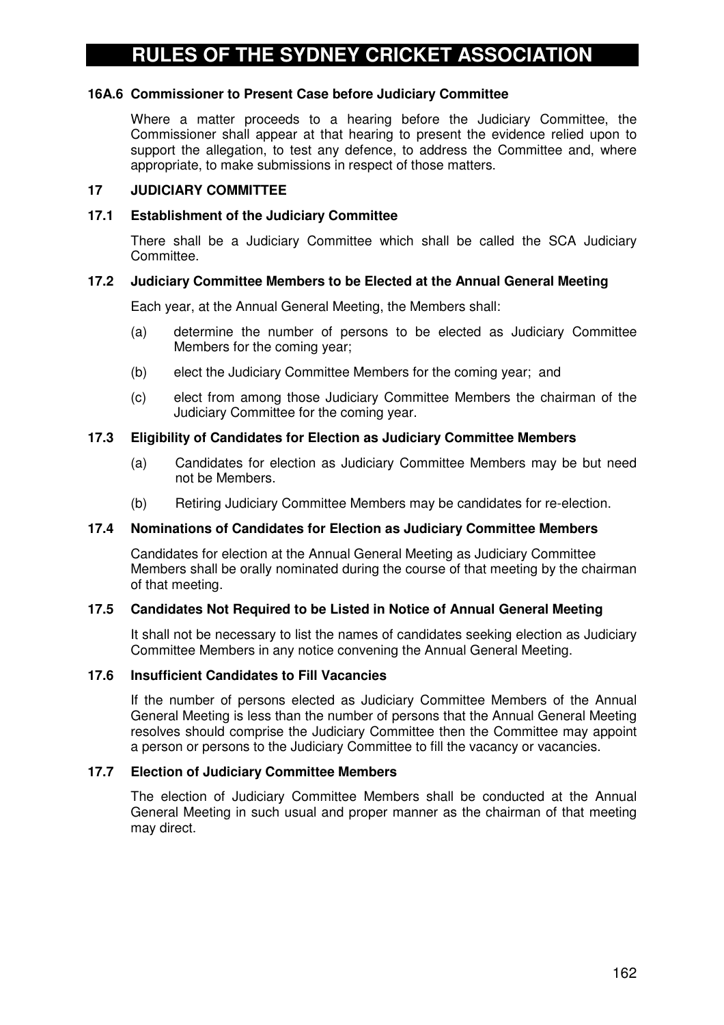#### **16A.6 Commissioner to Present Case before Judiciary Committee**

Where a matter proceeds to a hearing before the Judiciary Committee, the Commissioner shall appear at that hearing to present the evidence relied upon to support the allegation, to test any defence, to address the Committee and, where appropriate, to make submissions in respect of those matters.

#### **17 JUDICIARY COMMITTEE**

#### **17.1 Establishment of the Judiciary Committee**

There shall be a Judiciary Committee which shall be called the SCA Judiciary Committee.

#### **17.2 Judiciary Committee Members to be Elected at the Annual General Meeting**

Each year, at the Annual General Meeting, the Members shall:

- (a) determine the number of persons to be elected as Judiciary Committee Members for the coming year;
- (b) elect the Judiciary Committee Members for the coming year; and
- (c) elect from among those Judiciary Committee Members the chairman of the Judiciary Committee for the coming year.

#### **17.3 Eligibility of Candidates for Election as Judiciary Committee Members**

- (a) Candidates for election as Judiciary Committee Members may be but need not be Members.
- (b) Retiring Judiciary Committee Members may be candidates for re-election.

#### **17.4 Nominations of Candidates for Election as Judiciary Committee Members**

Candidates for election at the Annual General Meeting as Judiciary Committee Members shall be orally nominated during the course of that meeting by the chairman of that meeting.

#### **17.5 Candidates Not Required to be Listed in Notice of Annual General Meeting**

It shall not be necessary to list the names of candidates seeking election as Judiciary Committee Members in any notice convening the Annual General Meeting.

#### **17.6 Insufficient Candidates to Fill Vacancies**

If the number of persons elected as Judiciary Committee Members of the Annual General Meeting is less than the number of persons that the Annual General Meeting resolves should comprise the Judiciary Committee then the Committee may appoint a person or persons to the Judiciary Committee to fill the vacancy or vacancies.

#### **17.7 Election of Judiciary Committee Members**

The election of Judiciary Committee Members shall be conducted at the Annual General Meeting in such usual and proper manner as the chairman of that meeting may direct.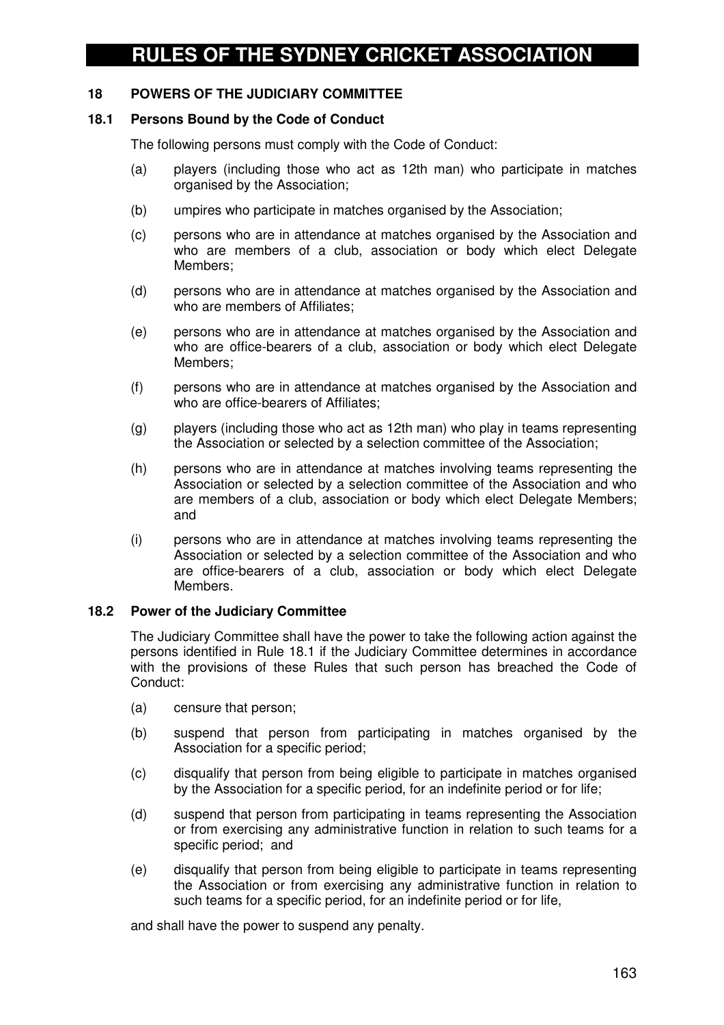### **18 POWERS OF THE JUDICIARY COMMITTEE**

#### **18.1 Persons Bound by the Code of Conduct**

The following persons must comply with the Code of Conduct:

- (a) players (including those who act as 12th man) who participate in matches organised by the Association;
- (b) umpires who participate in matches organised by the Association;
- (c) persons who are in attendance at matches organised by the Association and who are members of a club, association or body which elect Delegate Members;
- (d) persons who are in attendance at matches organised by the Association and who are members of Affiliates:
- (e) persons who are in attendance at matches organised by the Association and who are office-bearers of a club, association or body which elect Delegate Members;
- (f) persons who are in attendance at matches organised by the Association and who are office-bearers of Affiliates;
- (g) players (including those who act as 12th man) who play in teams representing the Association or selected by a selection committee of the Association;
- (h) persons who are in attendance at matches involving teams representing the Association or selected by a selection committee of the Association and who are members of a club, association or body which elect Delegate Members; and
- (i) persons who are in attendance at matches involving teams representing the Association or selected by a selection committee of the Association and who are office-bearers of a club, association or body which elect Delegate Members.

#### **18.2 Power of the Judiciary Committee**

The Judiciary Committee shall have the power to take the following action against the persons identified in Rule 18.1 if the Judiciary Committee determines in accordance with the provisions of these Rules that such person has breached the Code of Conduct:

- (a) censure that person;
- (b) suspend that person from participating in matches organised by the Association for a specific period;
- (c) disqualify that person from being eligible to participate in matches organised by the Association for a specific period, for an indefinite period or for life;
- (d) suspend that person from participating in teams representing the Association or from exercising any administrative function in relation to such teams for a specific period; and
- (e) disqualify that person from being eligible to participate in teams representing the Association or from exercising any administrative function in relation to such teams for a specific period, for an indefinite period or for life,

and shall have the power to suspend any penalty.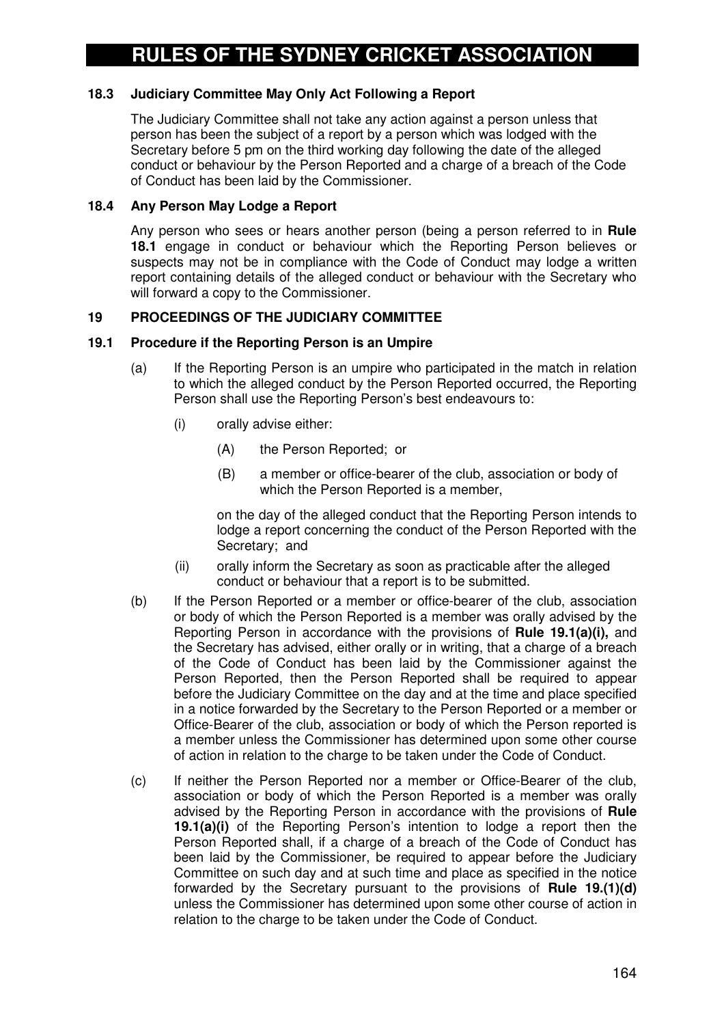## **18.3 Judiciary Committee May Only Act Following a Report**

The Judiciary Committee shall not take any action against a person unless that person has been the subject of a report by a person which was lodged with the Secretary before 5 pm on the third working day following the date of the alleged conduct or behaviour by the Person Reported and a charge of a breach of the Code of Conduct has been laid by the Commissioner.

#### **18.4 Any Person May Lodge a Report**

Any person who sees or hears another person (being a person referred to in **Rule 18.1** engage in conduct or behaviour which the Reporting Person believes or suspects may not be in compliance with the Code of Conduct may lodge a written report containing details of the alleged conduct or behaviour with the Secretary who will forward a copy to the Commissioner.

#### **19 PROCEEDINGS OF THE JUDICIARY COMMITTEE**

#### **19.1 Procedure if the Reporting Person is an Umpire**

- (a) If the Reporting Person is an umpire who participated in the match in relation to which the alleged conduct by the Person Reported occurred, the Reporting Person shall use the Reporting Person's best endeavours to:
	- (i) orally advise either:
		- (A) the Person Reported; or
		- (B) a member or office-bearer of the club, association or body of which the Person Reported is a member,

on the day of the alleged conduct that the Reporting Person intends to lodge a report concerning the conduct of the Person Reported with the Secretary; and

- (ii) orally inform the Secretary as soon as practicable after the alleged conduct or behaviour that a report is to be submitted.
- (b) If the Person Reported or a member or office-bearer of the club, association or body of which the Person Reported is a member was orally advised by the Reporting Person in accordance with the provisions of **Rule 19.1(a)(i),** and the Secretary has advised, either orally or in writing, that a charge of a breach of the Code of Conduct has been laid by the Commissioner against the Person Reported, then the Person Reported shall be required to appear before the Judiciary Committee on the day and at the time and place specified in a notice forwarded by the Secretary to the Person Reported or a member or Office-Bearer of the club, association or body of which the Person reported is a member unless the Commissioner has determined upon some other course of action in relation to the charge to be taken under the Code of Conduct.
- (c) If neither the Person Reported nor a member or Office-Bearer of the club, association or body of which the Person Reported is a member was orally advised by the Reporting Person in accordance with the provisions of **Rule 19.1(a)(i)** of the Reporting Person's intention to lodge a report then the Person Reported shall, if a charge of a breach of the Code of Conduct has been laid by the Commissioner, be required to appear before the Judiciary Committee on such day and at such time and place as specified in the notice forwarded by the Secretary pursuant to the provisions of **Rule 19.(1)(d)** unless the Commissioner has determined upon some other course of action in relation to the charge to be taken under the Code of Conduct.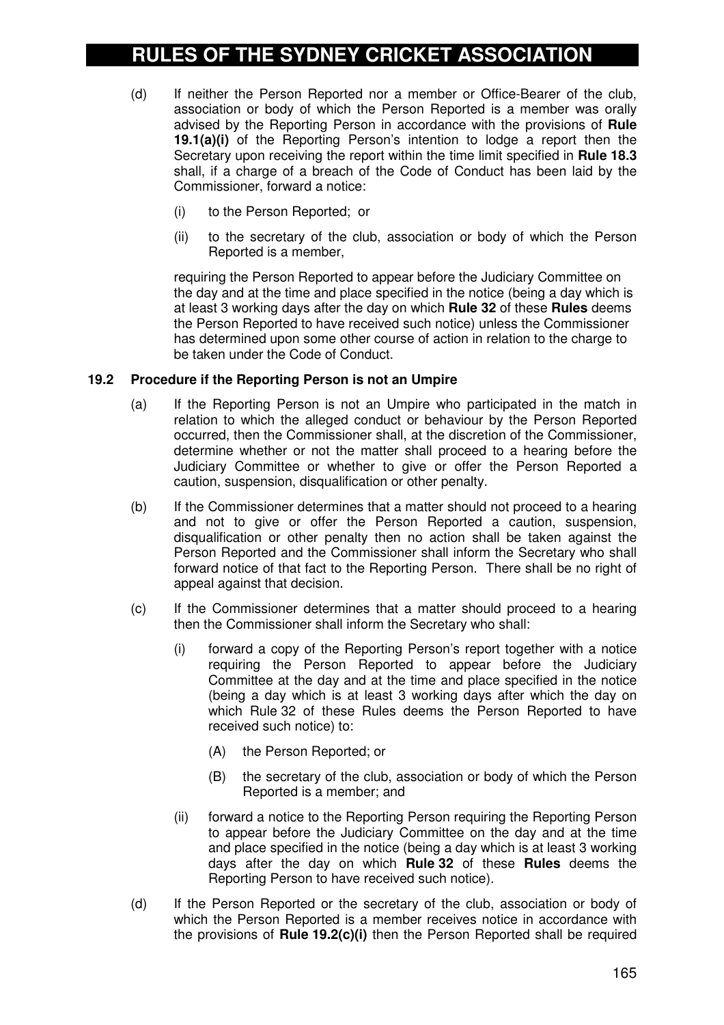- (d) If neither the Person Reported nor a member or Office-Bearer of the club, association or body of which the Person Reported is a member was orally advised by the Reporting Person in accordance with the provisions of **Rule 19.1(a)(i)** of the Reporting Person's intention to lodge a report then the Secretary upon receiving the report within the time limit specified in **Rule 18.3** shall, if a charge of a breach of the Code of Conduct has been laid by the Commissioner, forward a notice:
	- (i) to the Person Reported; or
	- (ii) to the secretary of the club, association or body of which the Person Reported is a member,

requiring the Person Reported to appear before the Judiciary Committee on the day and at the time and place specified in the notice (being a day which is at least 3 working days after the day on which **Rule 32** of these **Rules** deems the Person Reported to have received such notice) unless the Commissioner has determined upon some other course of action in relation to the charge to be taken under the Code of Conduct.

#### **19.2 Procedure if the Reporting Person is not an Umpire**

- (a) If the Reporting Person is not an Umpire who participated in the match in relation to which the alleged conduct or behaviour by the Person Reported occurred, then the Commissioner shall, at the discretion of the Commissioner, determine whether or not the matter shall proceed to a hearing before the Judiciary Committee or whether to give or offer the Person Reported a caution, suspension, disqualification or other penalty.
- (b) If the Commissioner determines that a matter should not proceed to a hearing and not to give or offer the Person Reported a caution, suspension, disqualification or other penalty then no action shall be taken against the Person Reported and the Commissioner shall inform the Secretary who shall forward notice of that fact to the Reporting Person. There shall be no right of appeal against that decision.
- (c) If the Commissioner determines that a matter should proceed to a hearing then the Commissioner shall inform the Secretary who shall:
	- (i) forward a copy of the Reporting Person's report together with a notice requiring the Person Reported to appear before the Judiciary Committee at the day and at the time and place specified in the notice (being a day which is at least 3 working days after which the day on which Rule 32 of these Rules deems the Person Reported to have received such notice) to:
		- (A) the Person Reported; or
		- (B) the secretary of the club, association or body of which the Person Reported is a member; and
	- (ii) forward a notice to the Reporting Person requiring the Reporting Person to appear before the Judiciary Committee on the day and at the time and place specified in the notice (being a day which is at least 3 working days after the day on which **Rule 32** of these **Rules** deems the Reporting Person to have received such notice).
- (d) If the Person Reported or the secretary of the club, association or body of which the Person Reported is a member receives notice in accordance with the provisions of **Rule 19.2(c)(i)** then the Person Reported shall be required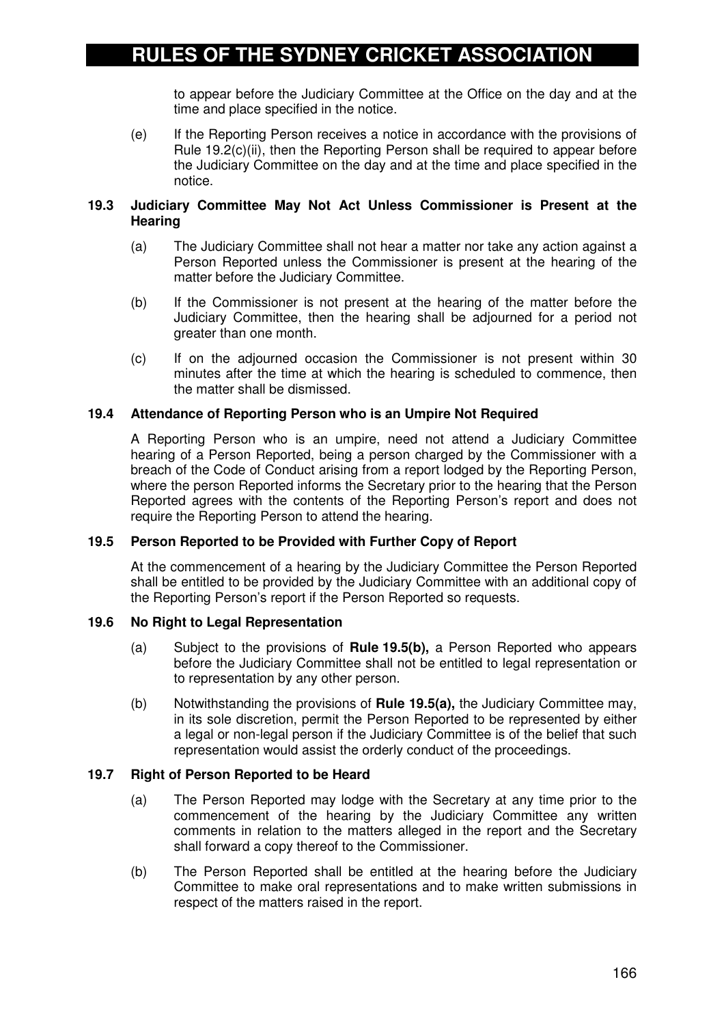to appear before the Judiciary Committee at the Office on the day and at the time and place specified in the notice.

(e) If the Reporting Person receives a notice in accordance with the provisions of Rule 19.2(c)(ii), then the Reporting Person shall be required to appear before the Judiciary Committee on the day and at the time and place specified in the notice.

#### **19.3 Judiciary Committee May Not Act Unless Commissioner is Present at the Hearing**

- (a) The Judiciary Committee shall not hear a matter nor take any action against a Person Reported unless the Commissioner is present at the hearing of the matter before the Judiciary Committee.
- (b) If the Commissioner is not present at the hearing of the matter before the Judiciary Committee, then the hearing shall be adjourned for a period not greater than one month.
- (c) If on the adjourned occasion the Commissioner is not present within 30 minutes after the time at which the hearing is scheduled to commence, then the matter shall be dismissed.

## **19.4 Attendance of Reporting Person who is an Umpire Not Required**

A Reporting Person who is an umpire, need not attend a Judiciary Committee hearing of a Person Reported, being a person charged by the Commissioner with a breach of the Code of Conduct arising from a report lodged by the Reporting Person, where the person Reported informs the Secretary prior to the hearing that the Person Reported agrees with the contents of the Reporting Person's report and does not require the Reporting Person to attend the hearing.

#### **19.5 Person Reported to be Provided with Further Copy of Report**

At the commencement of a hearing by the Judiciary Committee the Person Reported shall be entitled to be provided by the Judiciary Committee with an additional copy of the Reporting Person's report if the Person Reported so requests.

#### **19.6 No Right to Legal Representation**

- (a) Subject to the provisions of **Rule 19.5(b),** a Person Reported who appears before the Judiciary Committee shall not be entitled to legal representation or to representation by any other person.
- (b) Notwithstanding the provisions of **Rule 19.5(a),** the Judiciary Committee may, in its sole discretion, permit the Person Reported to be represented by either a legal or non-legal person if the Judiciary Committee is of the belief that such representation would assist the orderly conduct of the proceedings.

#### **19.7 Right of Person Reported to be Heard**

- (a) The Person Reported may lodge with the Secretary at any time prior to the commencement of the hearing by the Judiciary Committee any written comments in relation to the matters alleged in the report and the Secretary shall forward a copy thereof to the Commissioner.
- (b) The Person Reported shall be entitled at the hearing before the Judiciary Committee to make oral representations and to make written submissions in respect of the matters raised in the report.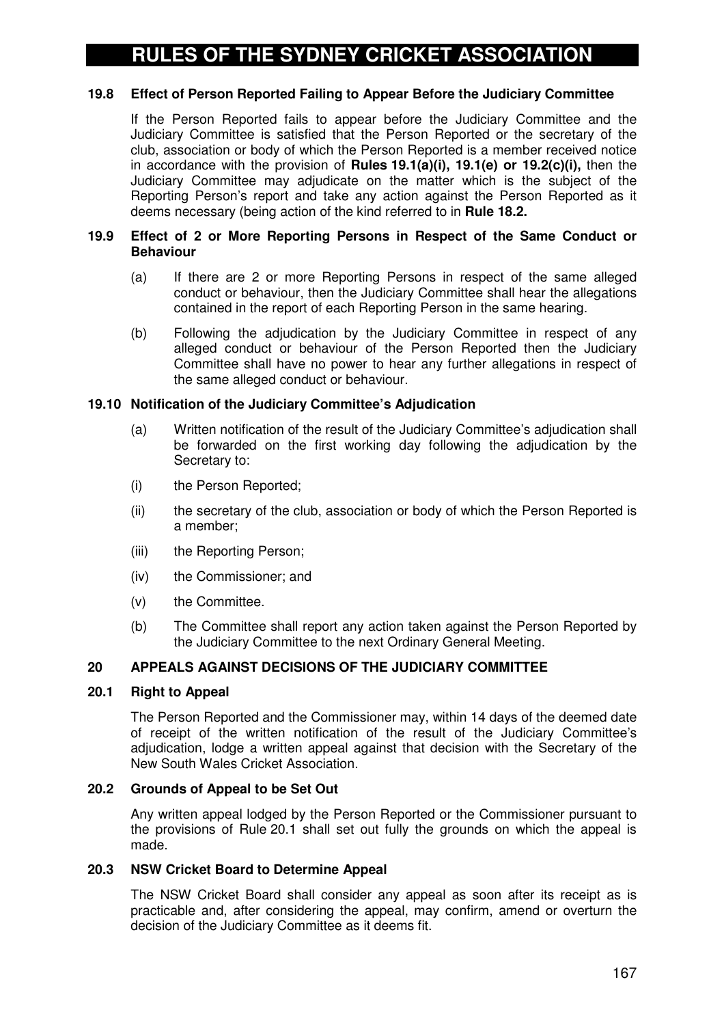## **19.8 Effect of Person Reported Failing to Appear Before the Judiciary Committee**

If the Person Reported fails to appear before the Judiciary Committee and the Judiciary Committee is satisfied that the Person Reported or the secretary of the club, association or body of which the Person Reported is a member received notice in accordance with the provision of **Rules 19.1(a)(i), 19.1(e) or 19.2(c)(i),** then the Judiciary Committee may adjudicate on the matter which is the subject of the Reporting Person's report and take any action against the Person Reported as it deems necessary (being action of the kind referred to in **Rule 18.2.**

#### **19.9 Effect of 2 or More Reporting Persons in Respect of the Same Conduct or Behaviour**

- (a) If there are 2 or more Reporting Persons in respect of the same alleged conduct or behaviour, then the Judiciary Committee shall hear the allegations contained in the report of each Reporting Person in the same hearing.
- (b) Following the adjudication by the Judiciary Committee in respect of any alleged conduct or behaviour of the Person Reported then the Judiciary Committee shall have no power to hear any further allegations in respect of the same alleged conduct or behaviour.

#### **19.10 Notification of the Judiciary Committee's Adjudication**

- (a) Written notification of the result of the Judiciary Committee's adjudication shall be forwarded on the first working day following the adjudication by the Secretary to:
- (i) the Person Reported;
- (ii) the secretary of the club, association or body of which the Person Reported is a member;
- (iii) the Reporting Person;
- (iv) the Commissioner; and
- (v) the Committee.
- (b) The Committee shall report any action taken against the Person Reported by the Judiciary Committee to the next Ordinary General Meeting.

#### **20 APPEALS AGAINST DECISIONS OF THE JUDICIARY COMMITTEE**

#### **20.1 Right to Appeal**

The Person Reported and the Commissioner may, within 14 days of the deemed date of receipt of the written notification of the result of the Judiciary Committee's adjudication, lodge a written appeal against that decision with the Secretary of the New South Wales Cricket Association.

#### **20.2 Grounds of Appeal to be Set Out**

Any written appeal lodged by the Person Reported or the Commissioner pursuant to the provisions of Rule 20.1 shall set out fully the grounds on which the appeal is made.

#### **20.3 NSW Cricket Board to Determine Appeal**

The NSW Cricket Board shall consider any appeal as soon after its receipt as is practicable and, after considering the appeal, may confirm, amend or overturn the decision of the Judiciary Committee as it deems fit.